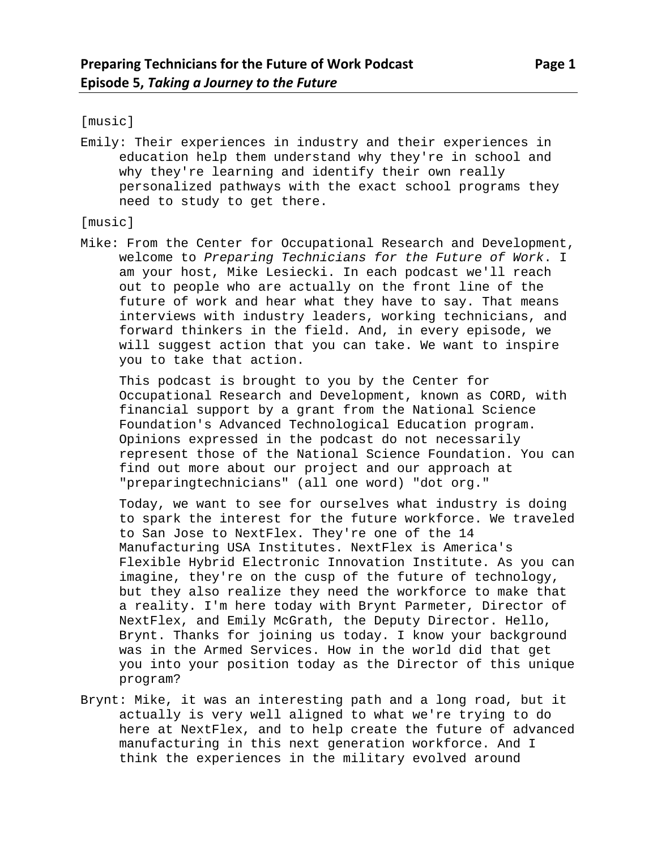[music]

Emily: Their experiences in industry and their experiences in education help them understand why they're in school and why they're learning and identify their own really personalized pathways with the exact school programs they need to study to get there.

[music]

Mike: From the Center for Occupational Research and Development, welcome to *Preparing Technicians for the Future of Work*. I am your host, Mike Lesiecki. In each podcast we'll reach out to people who are actually on the front line of the future of work and hear what they have to say. That means interviews with industry leaders, working technicians, and forward thinkers in the field. And, in every episode, we will suggest action that you can take. We want to inspire you to take that action.

This podcast is brought to you by the Center for Occupational Research and Development, known as CORD, with financial support by a grant from the National Science Foundation's Advanced Technological Education program. Opinions expressed in the podcast do not necessarily represent those of the National Science Foundation. You can find out more about our project and our approach at "preparingtechnicians" (all one word) "dot org."

Today, we want to see for ourselves what industry is doing to spark the interest for the future workforce. We traveled to San Jose to NextFlex. They're one of the 14 Manufacturing USA Institutes. NextFlex is America's Flexible Hybrid Electronic Innovation Institute. As you can imagine, they're on the cusp of the future of technology, but they also realize they need the workforce to make that a reality. I'm here today with Brynt Parmeter, Director of NextFlex, and Emily McGrath, the Deputy Director. Hello, Brynt. Thanks for joining us today. I know your background was in the Armed Services. How in the world did that get you into your position today as the Director of this unique program?

Brynt: Mike, it was an interesting path and a long road, but it actually is very well aligned to what we're trying to do here at NextFlex, and to help create the future of advanced manufacturing in this next generation workforce. And I think the experiences in the military evolved around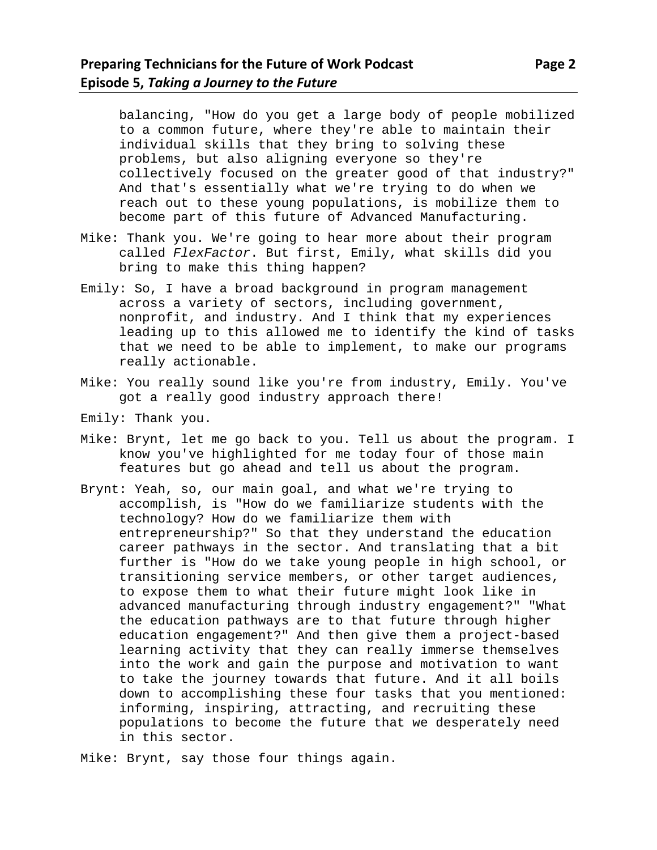balancing, "How do you get a large body of people mobilized to a common future, where they're able to maintain their individual skills that they bring to solving these problems, but also aligning everyone so they're collectively focused on the greater good of that industry?" And that's essentially what we're trying to do when we reach out to these young populations, is mobilize them to become part of this future of Advanced Manufacturing.

- Mike: Thank you. We're going to hear more about their program called *FlexFactor*. But first, Emily, what skills did you bring to make this thing happen?
- Emily: So, I have a broad background in program management across a variety of sectors, including government, nonprofit, and industry. And I think that my experiences leading up to this allowed me to identify the kind of tasks that we need to be able to implement, to make our programs really actionable.
- Mike: You really sound like you're from industry, Emily. You've got a really good industry approach there!
- Emily: Thank you.
- Mike: Brynt, let me go back to you. Tell us about the program. I know you've highlighted for me today four of those main features but go ahead and tell us about the program.
- Brynt: Yeah, so, our main goal, and what we're trying to accomplish, is "How do we familiarize students with the technology? How do we familiarize them with entrepreneurship?" So that they understand the education career pathways in the sector. And translating that a bit further is "How do we take young people in high school, or transitioning service members, or other target audiences, to expose them to what their future might look like in advanced manufacturing through industry engagement?" "What the education pathways are to that future through higher education engagement?" And then give them a project-based learning activity that they can really immerse themselves into the work and gain the purpose and motivation to want to take the journey towards that future. And it all boils down to accomplishing these four tasks that you mentioned: informing, inspiring, attracting, and recruiting these populations to become the future that we desperately need in this sector.
- Mike: Brynt, say those four things again.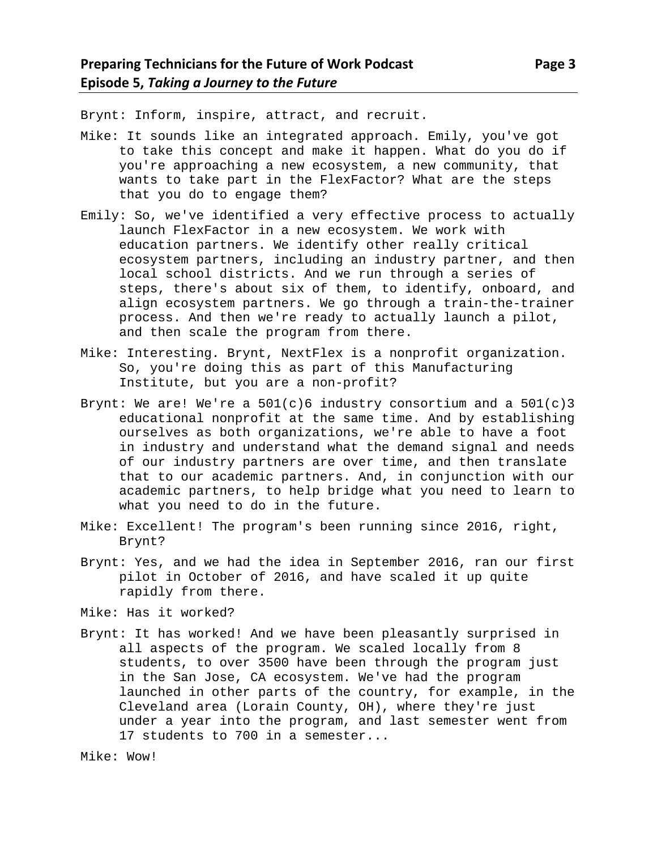Brynt: Inform, inspire, attract, and recruit.

- Mike: It sounds like an integrated approach. Emily, you've got to take this concept and make it happen. What do you do if you're approaching a new ecosystem, a new community, that wants to take part in the FlexFactor? What are the steps that you do to engage them?
- Emily: So, we've identified a very effective process to actually launch FlexFactor in a new ecosystem. We work with education partners. We identify other really critical ecosystem partners, including an industry partner, and then local school districts. And we run through a series of steps, there's about six of them, to identify, onboard, and align ecosystem partners. We go through a train-the-trainer process. And then we're ready to actually launch a pilot, and then scale the program from there.
- Mike: Interesting. Brynt, NextFlex is a nonprofit organization. So, you're doing this as part of this Manufacturing Institute, but you are a non-profit?
- Brynt: We are! We're a  $501(c)6$  industry consortium and a  $501(c)3$ educational nonprofit at the same time. And by establishing ourselves as both organizations, we're able to have a foot in industry and understand what the demand signal and needs of our industry partners are over time, and then translate that to our academic partners. And, in conjunction with our academic partners, to help bridge what you need to learn to what you need to do in the future.
- Mike: Excellent! The program's been running since 2016, right, Brynt?
- Brynt: Yes, and we had the idea in September 2016, ran our first pilot in October of 2016, and have scaled it up quite rapidly from there.

Mike: Has it worked?

Brynt: It has worked! And we have been pleasantly surprised in all aspects of the program. We scaled locally from 8 students, to over 3500 have been through the program just in the San Jose, CA ecosystem. We've had the program launched in other parts of the country, for example, in the Cleveland area (Lorain County, OH), where they're just under a year into the program, and last semester went from 17 students to 700 in a semester...

```
Mike: Wow!
```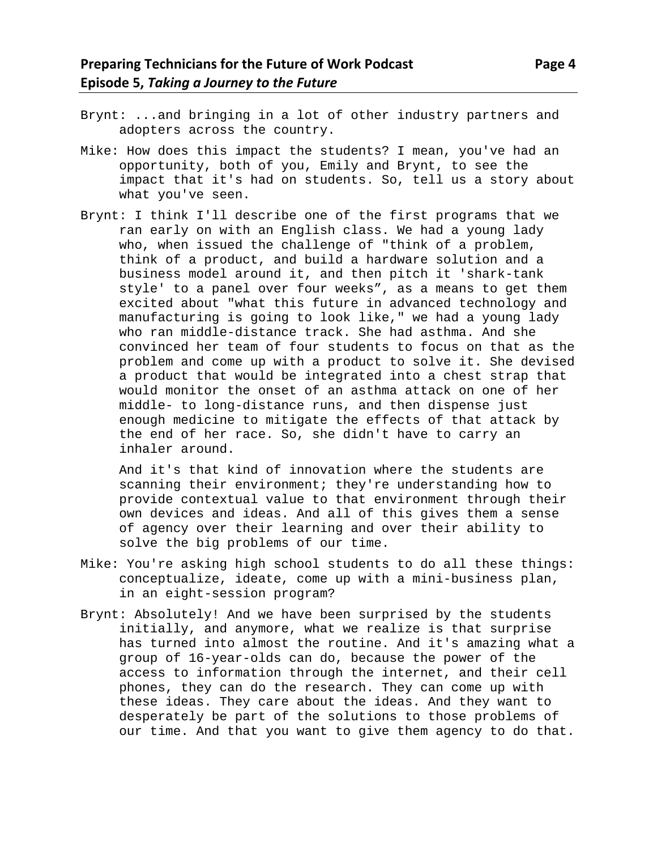- Brynt: ...and bringing in a lot of other industry partners and adopters across the country.
- Mike: How does this impact the students? I mean, you've had an opportunity, both of you, Emily and Brynt, to see the impact that it's had on students. So, tell us a story about what you've seen.
- Brynt: I think I'll describe one of the first programs that we ran early on with an English class. We had a young lady who, when issued the challenge of "think of a problem, think of a product, and build a hardware solution and a business model around it, and then pitch it 'shark-tank style' to a panel over four weeks", as a means to get them excited about "what this future in advanced technology and manufacturing is going to look like," we had a young lady who ran middle-distance track. She had asthma. And she convinced her team of four students to focus on that as the problem and come up with a product to solve it. She devised a product that would be integrated into a chest strap that would monitor the onset of an asthma attack on one of her middle- to long-distance runs, and then dispense just enough medicine to mitigate the effects of that attack by the end of her race. So, she didn't have to carry an inhaler around.

And it's that kind of innovation where the students are scanning their environment; they're understanding how to provide contextual value to that environment through their own devices and ideas. And all of this gives them a sense of agency over their learning and over their ability to solve the big problems of our time.

- Mike: You're asking high school students to do all these things: conceptualize, ideate, come up with a mini-business plan, in an eight-session program?
- Brynt: Absolutely! And we have been surprised by the students initially, and anymore, what we realize is that surprise has turned into almost the routine. And it's amazing what a group of 16-year-olds can do, because the power of the access to information through the internet, and their cell phones, they can do the research. They can come up with these ideas. They care about the ideas. And they want to desperately be part of the solutions to those problems of our time. And that you want to give them agency to do that.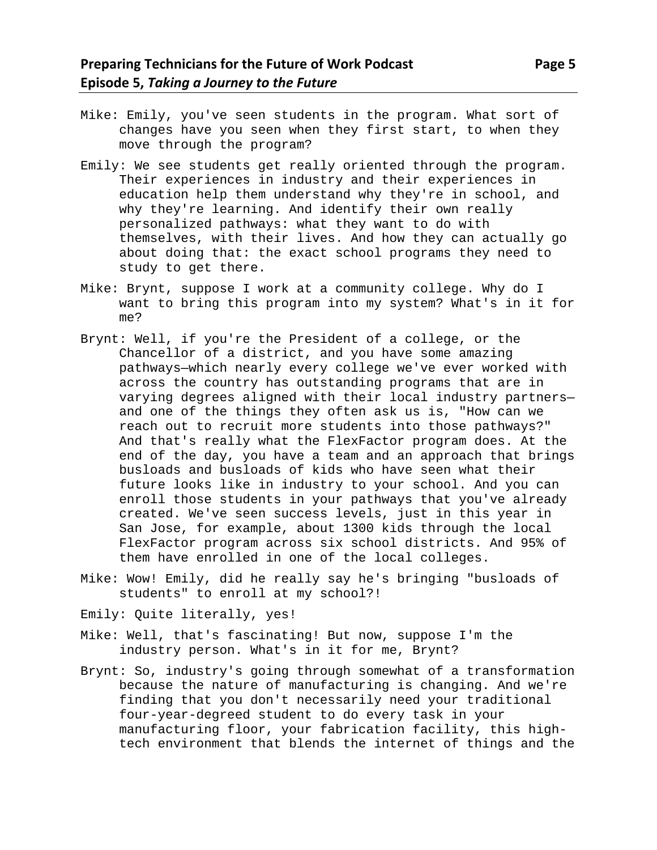- Mike: Emily, you've seen students in the program. What sort of changes have you seen when they first start, to when they move through the program?
- Emily: We see students get really oriented through the program. Their experiences in industry and their experiences in education help them understand why they're in school, and why they're learning. And identify their own really personalized pathways: what they want to do with themselves, with their lives. And how they can actually go about doing that: the exact school programs they need to study to get there.
- Mike: Brynt, suppose I work at a community college. Why do I want to bring this program into my system? What's in it for me?
- Brynt: Well, if you're the President of a college, or the Chancellor of a district, and you have some amazing pathways—which nearly every college we've ever worked with across the country has outstanding programs that are in varying degrees aligned with their local industry partners and one of the things they often ask us is, "How can we reach out to recruit more students into those pathways?" And that's really what the FlexFactor program does. At the end of the day, you have a team and an approach that brings busloads and busloads of kids who have seen what their future looks like in industry to your school. And you can enroll those students in your pathways that you've already created. We've seen success levels, just in this year in San Jose, for example, about 1300 kids through the local FlexFactor program across six school districts. And 95% of them have enrolled in one of the local colleges.
- Mike: Wow! Emily, did he really say he's bringing "busloads of students" to enroll at my school?!
- Emily: Quite literally, yes!
- Mike: Well, that's fascinating! But now, suppose I'm the industry person. What's in it for me, Brynt?
- Brynt: So, industry's going through somewhat of a transformation because the nature of manufacturing is changing. And we're finding that you don't necessarily need your traditional four-year-degreed student to do every task in your manufacturing floor, your fabrication facility, this hightech environment that blends the internet of things and the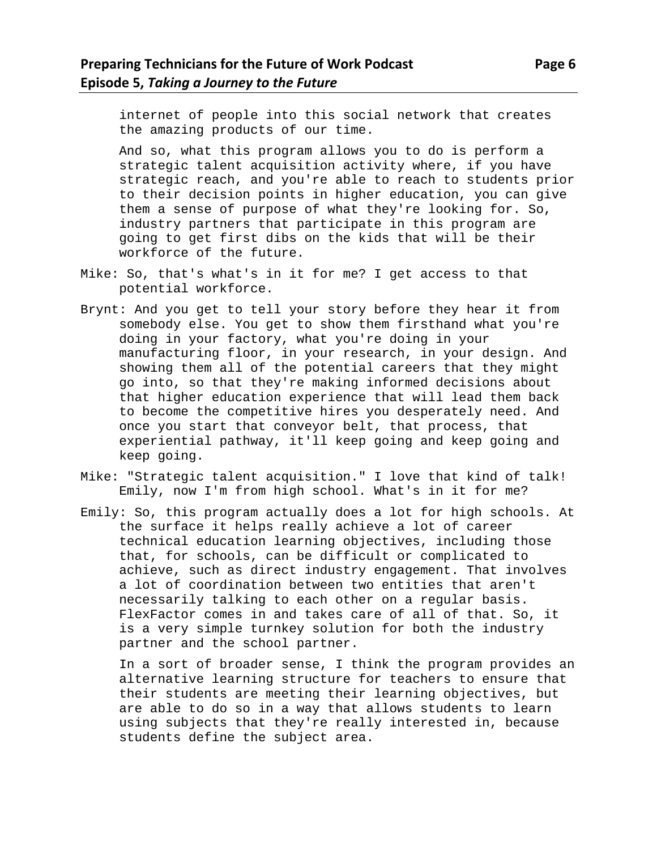internet of people into this social network that creates the amazing products of our time.

And so, what this program allows you to do is perform a strategic talent acquisition activity where, if you have strategic reach, and you're able to reach to students prior to their decision points in higher education, you can give them a sense of purpose of what they're looking for. So, industry partners that participate in this program are going to get first dibs on the kids that will be their workforce of the future.

- Mike: So, that's what's in it for me? I get access to that potential workforce.
- Brynt: And you get to tell your story before they hear it from somebody else. You get to show them firsthand what you're doing in your factory, what you're doing in your manufacturing floor, in your research, in your design. And showing them all of the potential careers that they might go into, so that they're making informed decisions about that higher education experience that will lead them back to become the competitive hires you desperately need. And once you start that conveyor belt, that process, that experiential pathway, it'll keep going and keep going and keep going.
- Mike: "Strategic talent acquisition." I love that kind of talk! Emily, now I'm from high school. What's in it for me?
- Emily: So, this program actually does a lot for high schools. At the surface it helps really achieve a lot of career technical education learning objectives, including those that, for schools, can be difficult or complicated to achieve, such as direct industry engagement. That involves a lot of coordination between two entities that aren't necessarily talking to each other on a regular basis. FlexFactor comes in and takes care of all of that. So, it is a very simple turnkey solution for both the industry partner and the school partner.

In a sort of broader sense, I think the program provides an alternative learning structure for teachers to ensure that their students are meeting their learning objectives, but are able to do so in a way that allows students to learn using subjects that they're really interested in, because students define the subject area.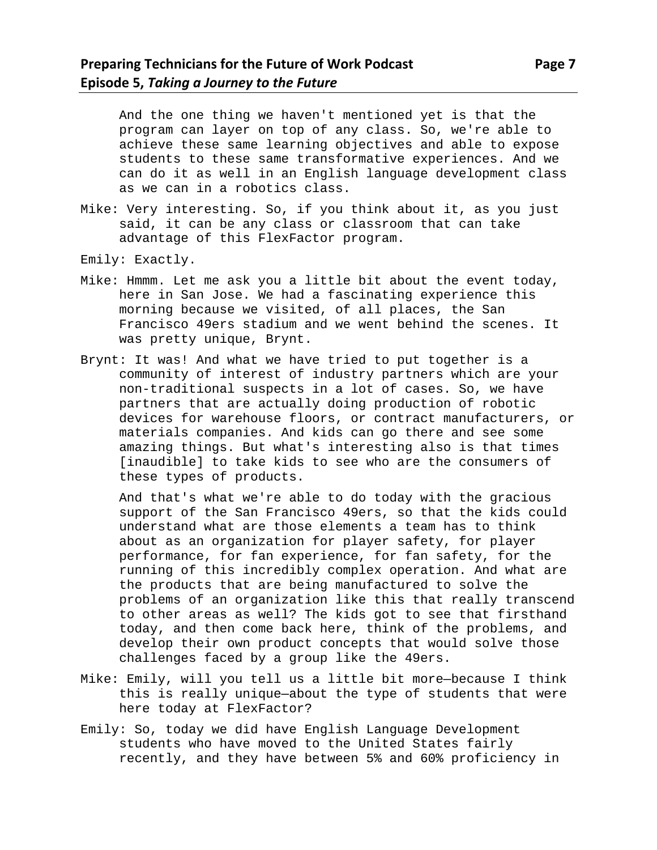And the one thing we haven't mentioned yet is that the program can layer on top of any class. So, we're able to achieve these same learning objectives and able to expose students to these same transformative experiences. And we can do it as well in an English language development class as we can in a robotics class.

- Mike: Very interesting. So, if you think about it, as you just said, it can be any class or classroom that can take advantage of this FlexFactor program.
- Emily: Exactly.
- Mike: Hmmm. Let me ask you a little bit about the event today, here in San Jose. We had a fascinating experience this morning because we visited, of all places, the San Francisco 49ers stadium and we went behind the scenes. It was pretty unique, Brynt.
- Brynt: It was! And what we have tried to put together is a community of interest of industry partners which are your non-traditional suspects in a lot of cases. So, we have partners that are actually doing production of robotic devices for warehouse floors, or contract manufacturers, or materials companies. And kids can go there and see some amazing things. But what's interesting also is that times [inaudible] to take kids to see who are the consumers of these types of products.

And that's what we're able to do today with the gracious support of the San Francisco 49ers, so that the kids could understand what are those elements a team has to think about as an organization for player safety, for player performance, for fan experience, for fan safety, for the running of this incredibly complex operation. And what are the products that are being manufactured to solve the problems of an organization like this that really transcend to other areas as well? The kids got to see that firsthand today, and then come back here, think of the problems, and develop their own product concepts that would solve those challenges faced by a group like the 49ers.

- Mike: Emily, will you tell us a little bit more—because I think this is really unique—about the type of students that were here today at FlexFactor?
- Emily: So, today we did have English Language Development students who have moved to the United States fairly recently, and they have between 5% and 60% proficiency in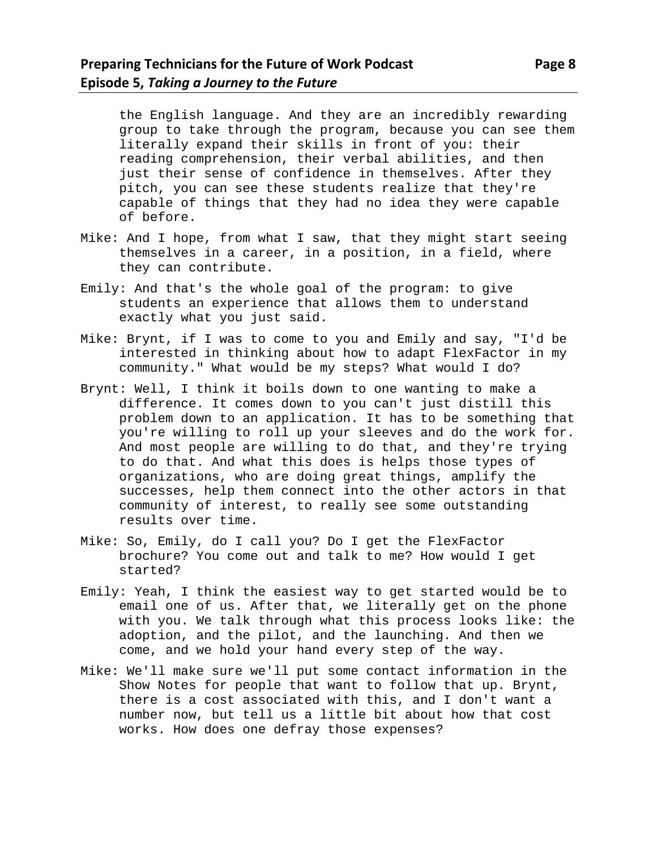the English language. And they are an incredibly rewarding group to take through the program, because you can see them literally expand their skills in front of you: their reading comprehension, their verbal abilities, and then just their sense of confidence in themselves. After they pitch, you can see these students realize that they're capable of things that they had no idea they were capable of before.

- Mike: And I hope, from what I saw, that they might start seeing themselves in a career, in a position, in a field, where they can contribute.
- Emily: And that's the whole goal of the program: to give students an experience that allows them to understand exactly what you just said.
- Mike: Brynt, if I was to come to you and Emily and say, "I'd be interested in thinking about how to adapt FlexFactor in my community." What would be my steps? What would I do?
- Brynt: Well, I think it boils down to one wanting to make a difference. It comes down to you can't just distill this problem down to an application. It has to be something that you're willing to roll up your sleeves and do the work for. And most people are willing to do that, and they're trying to do that. And what this does is helps those types of organizations, who are doing great things, amplify the successes, help them connect into the other actors in that community of interest, to really see some outstanding results over time.
- Mike: So, Emily, do I call you? Do I get the FlexFactor brochure? You come out and talk to me? How would I get started?
- Emily: Yeah, I think the easiest way to get started would be to email one of us. After that, we literally get on the phone with you. We talk through what this process looks like: the adoption, and the pilot, and the launching. And then we come, and we hold your hand every step of the way.
- Mike: We'll make sure we'll put some contact information in the Show Notes for people that want to follow that up. Brynt, there is a cost associated with this, and I don't want a number now, but tell us a little bit about how that cost works. How does one defray those expenses?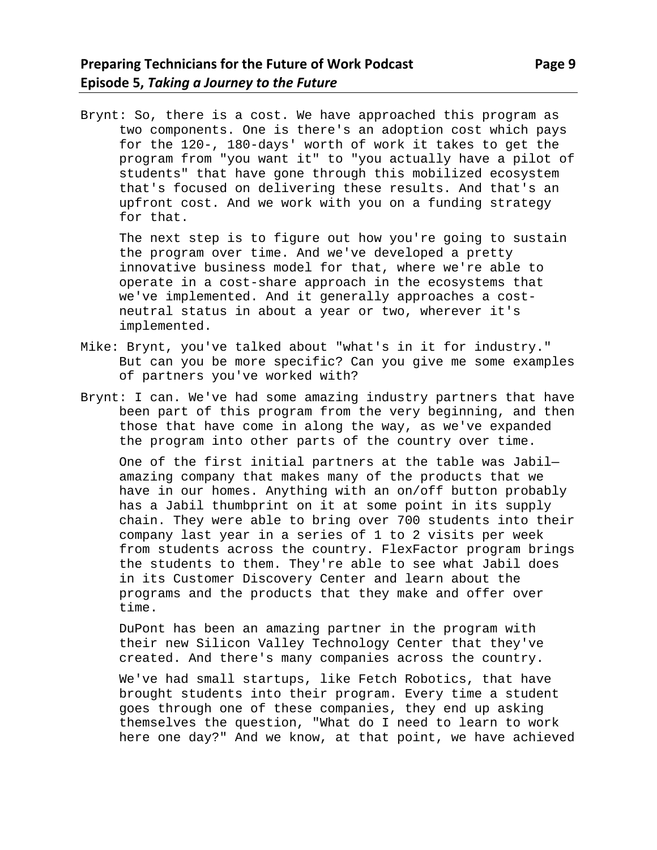Brynt: So, there is a cost. We have approached this program as two components. One is there's an adoption cost which pays for the 120-, 180-days' worth of work it takes to get the program from "you want it" to "you actually have a pilot of students" that have gone through this mobilized ecosystem that's focused on delivering these results. And that's an upfront cost. And we work with you on a funding strategy for that.

The next step is to figure out how you're going to sustain the program over time. And we've developed a pretty innovative business model for that, where we're able to operate in a cost-share approach in the ecosystems that we've implemented. And it generally approaches a costneutral status in about a year or two, wherever it's implemented.

- Mike: Brynt, you've talked about "what's in it for industry." But can you be more specific? Can you give me some examples of partners you've worked with?
- Brynt: I can. We've had some amazing industry partners that have been part of this program from the very beginning, and then those that have come in along the way, as we've expanded the program into other parts of the country over time.

One of the first initial partners at the table was Jabil amazing company that makes many of the products that we have in our homes. Anything with an on/off button probably has a Jabil thumbprint on it at some point in its supply chain. They were able to bring over 700 students into their company last year in a series of 1 to 2 visits per week from students across the country. FlexFactor program brings the students to them. They're able to see what Jabil does in its Customer Discovery Center and learn about the programs and the products that they make and offer over time.

DuPont has been an amazing partner in the program with their new Silicon Valley Technology Center that they've created. And there's many companies across the country.

We've had small startups, like Fetch Robotics, that have brought students into their program. Every time a student goes through one of these companies, they end up asking themselves the question, "What do I need to learn to work here one day?" And we know, at that point, we have achieved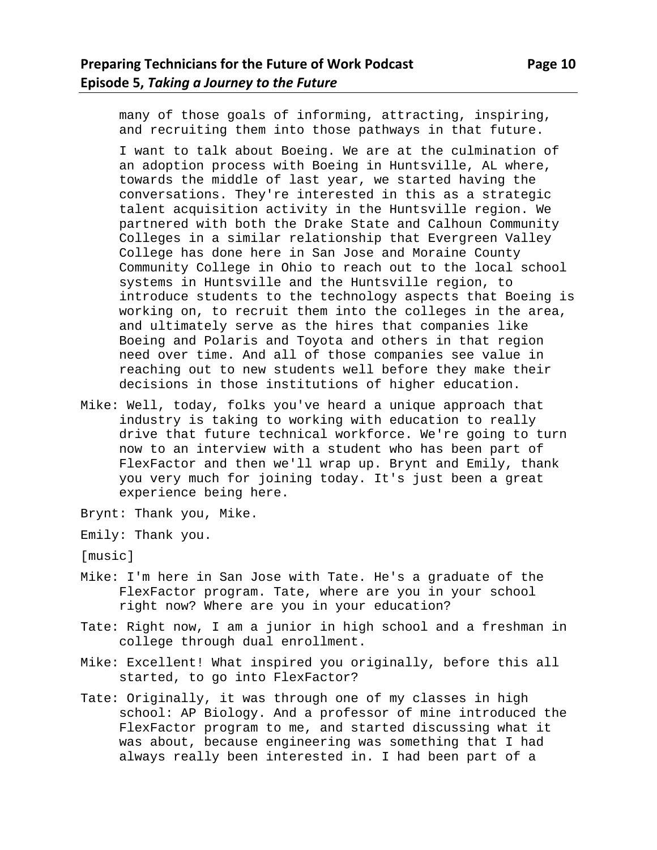many of those goals of informing, attracting, inspiring, and recruiting them into those pathways in that future.

I want to talk about Boeing. We are at the culmination of an adoption process with Boeing in Huntsville, AL where, towards the middle of last year, we started having the conversations. They're interested in this as a strategic talent acquisition activity in the Huntsville region. We partnered with both the Drake State and Calhoun Community Colleges in a similar relationship that Evergreen Valley College has done here in San Jose and Moraine County Community College in Ohio to reach out to the local school systems in Huntsville and the Huntsville region, to introduce students to the technology aspects that Boeing is working on, to recruit them into the colleges in the area, and ultimately serve as the hires that companies like Boeing and Polaris and Toyota and others in that region need over time. And all of those companies see value in reaching out to new students well before they make their decisions in those institutions of higher education.

- Mike: Well, today, folks you've heard a unique approach that industry is taking to working with education to really drive that future technical workforce. We're going to turn now to an interview with a student who has been part of FlexFactor and then we'll wrap up. Brynt and Emily, thank you very much for joining today. It's just been a great experience being here.
- Brynt: Thank you, Mike.
- Emily: Thank you.

[music]

- Mike: I'm here in San Jose with Tate. He's a graduate of the FlexFactor program. Tate, where are you in your school right now? Where are you in your education?
- Tate: Right now, I am a junior in high school and a freshman in college through dual enrollment.
- Mike: Excellent! What inspired you originally, before this all started, to go into FlexFactor?
- Tate: Originally, it was through one of my classes in high school: AP Biology. And a professor of mine introduced the FlexFactor program to me, and started discussing what it was about, because engineering was something that I had always really been interested in. I had been part of a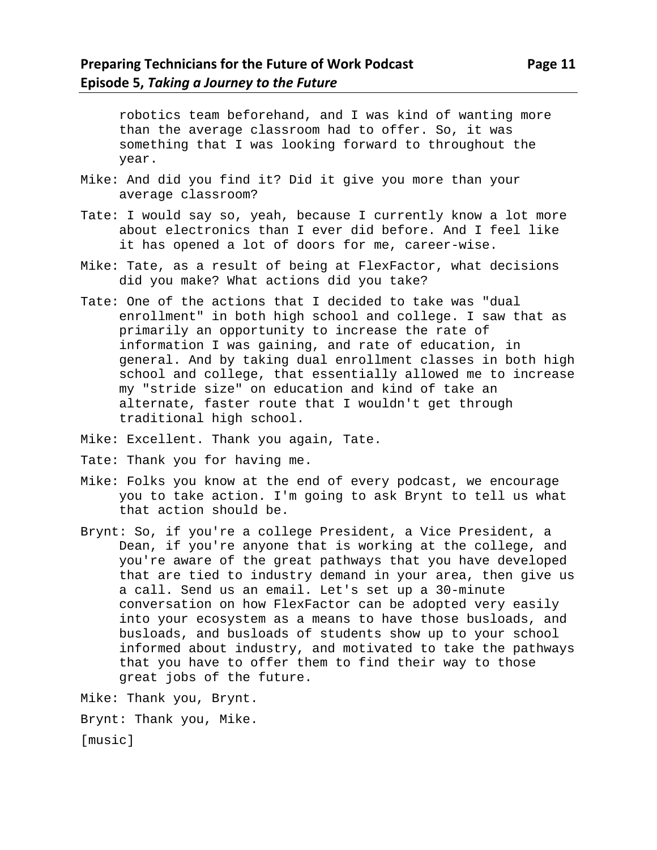robotics team beforehand, and I was kind of wanting more than the average classroom had to offer. So, it was something that I was looking forward to throughout the year.

- Mike: And did you find it? Did it give you more than your average classroom?
- Tate: I would say so, yeah, because I currently know a lot more about electronics than I ever did before. And I feel like it has opened a lot of doors for me, career-wise.
- Mike: Tate, as a result of being at FlexFactor, what decisions did you make? What actions did you take?
- Tate: One of the actions that I decided to take was "dual enrollment" in both high school and college. I saw that as primarily an opportunity to increase the rate of information I was gaining, and rate of education, in general. And by taking dual enrollment classes in both high school and college, that essentially allowed me to increase my "stride size" on education and kind of take an alternate, faster route that I wouldn't get through traditional high school.
- Mike: Excellent. Thank you again, Tate.
- Tate: Thank you for having me.
- Mike: Folks you know at the end of every podcast, we encourage you to take action. I'm going to ask Brynt to tell us what that action should be.
- Brynt: So, if you're a college President, a Vice President, a Dean, if you're anyone that is working at the college, and you're aware of the great pathways that you have developed that are tied to industry demand in your area, then give us a call. Send us an email. Let's set up a 30-minute conversation on how FlexFactor can be adopted very easily into your ecosystem as a means to have those busloads, and busloads, and busloads of students show up to your school informed about industry, and motivated to take the pathways that you have to offer them to find their way to those great jobs of the future.

Mike: Thank you, Brynt.

Brynt: Thank you, Mike.

[music]